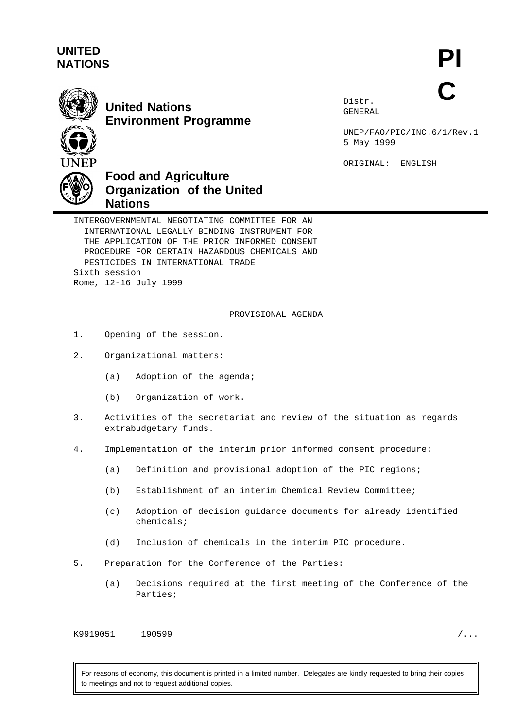## **UNITED NATIONS**



## **United Nations Environment Programme**

Distr. GENERAL

UNEP/FAO/PIC/INC.6/1/Rev.1 5 May 1999

ORIGINAL: ENGLISH



INTERGOVERNMENTAL NEGOTIATING COMMITTEE FOR AN INTERNATIONAL LEGALLY BINDING INSTRUMENT FOR THE APPLICATION OF THE PRIOR INFORMED CONSENT PROCEDURE FOR CERTAIN HAZARDOUS CHEMICALS AND PESTICIDES IN INTERNATIONAL TRADE Sixth session Rome, 12-16 July 1999

PROVISIONAL AGENDA

- 1. Opening of the session.
- 2. Organizational matters:
	- (a) Adoption of the agenda;
	- (b) Organization of work.
- 3. Activities of the secretariat and review of the situation as regards extrabudgetary funds.
- 4. Implementation of the interim prior informed consent procedure:
	- (a) Definition and provisional adoption of the PIC regions;
	- (b) Establishment of an interim Chemical Review Committee;
	- (c) Adoption of decision guidance documents for already identified chemicals;
	- (d) Inclusion of chemicals in the interim PIC procedure.
- 5. Preparation for the Conference of the Parties:
	- (a) Decisions required at the first meeting of the Conference of the Parties;

K9919051 190599 /...

For reasons of economy, this document is printed in a limited number. Delegates are kindly requested to bring their copies to meetings and not to request additional copies.